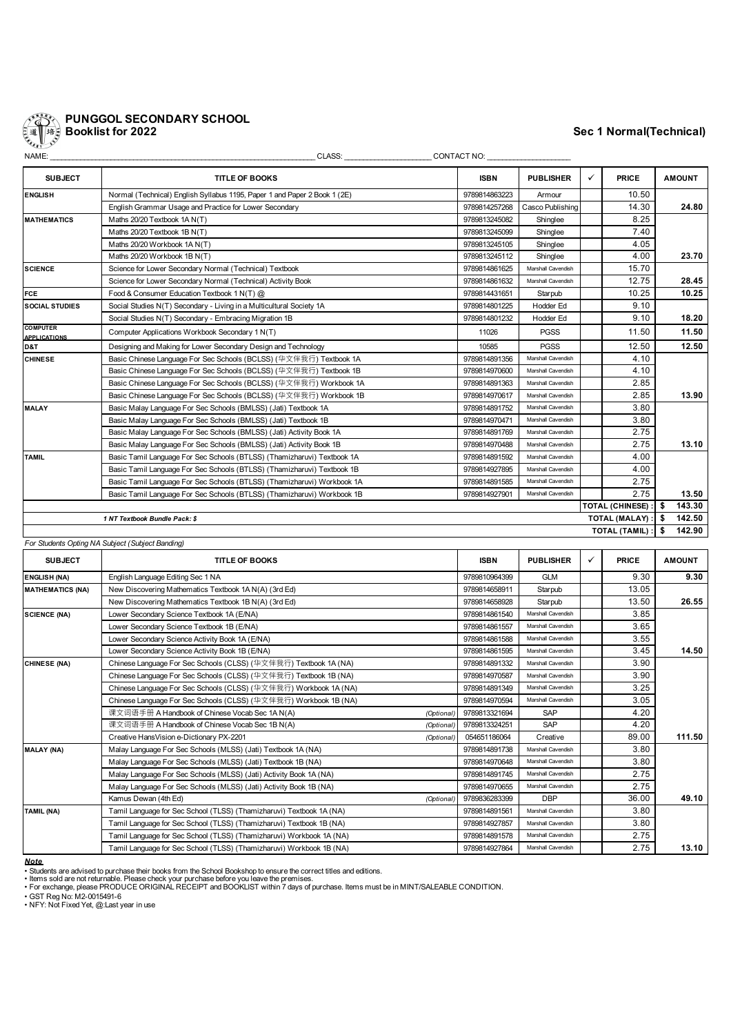

| <b>SUBJECT</b>                                         | <b>TITLE OF BOOKS</b>                                                     | <b>ISBN</b>   | <b>PUBLISHER</b>   | ✓ | <b>PRICE</b>            |      | <b>AMOUNT</b> |
|--------------------------------------------------------|---------------------------------------------------------------------------|---------------|--------------------|---|-------------------------|------|---------------|
| <b>ENGLISH</b>                                         | Normal (Technical) English Syllabus 1195, Paper 1 and Paper 2 Book 1 (2E) | 9789814863223 | Armour             |   | 10.50                   |      |               |
|                                                        | English Grammar Usage and Practice for Lower Secondary                    | 9789814257268 | Casco Publishing   |   | 14.30                   |      | 24.80         |
| <b>MATHEMATICS</b>                                     | Maths 20/20 Textbook 1A N(T)                                              | 9789813245082 | Shinglee           |   | 8.25                    |      |               |
|                                                        | Maths 20/20 Textbook 1B N(T)                                              | 9789813245099 | Shinglee           |   | 7.40                    |      |               |
|                                                        | Maths 20/20 Workbook 1A N(T)                                              | 9789813245105 | Shinglee           |   | 4.05                    |      |               |
|                                                        | Maths 20/20 Workbook 1B N(T)                                              | 9789813245112 | Shinglee           |   | 4.00                    |      | 23.70         |
| <b>SCIENCE</b>                                         | Science for Lower Secondary Normal (Technical) Textbook                   | 9789814861625 | Marshall Cavendish |   | 15.70                   |      |               |
|                                                        | Science for Lower Secondary Normal (Technical) Activity Book              | 9789814861632 | Marshall Cavendish |   | 12.75                   |      | 28.45         |
| <b>FCE</b>                                             | Food & Consumer Education Textbook 1 N(T) @                               | 9789814431651 | Starpub            |   | 10.25                   |      | 10.25         |
| <b>SOCIAL STUDIES</b>                                  | Social Studies N(T) Secondary - Living in a Multicultural Society 1A      |               | Hodder Ed          |   | 9.10                    |      |               |
|                                                        | Social Studies N(T) Secondary - Embracing Migration 1B                    | 9789814801232 | Hodder Ed          |   | 9.10                    |      | 18.20         |
| <b>COMPUTER</b><br><b>APPLICATIONS</b>                 | Computer Applications Workbook Secondary 1 N(T)                           | 11026         | <b>PGSS</b>        |   | 11.50                   |      | 11.50         |
| D&T                                                    | Designing and Making for Lower Secondary Design and Technology            | 10585         | <b>PGSS</b>        |   | 12.50                   |      | 12.50         |
| <b>CHINESE</b>                                         | Basic Chinese Language For Sec Schools (BCLSS) ( 华文伴我行) Textbook 1A       | 9789814891356 | Marshall Cavendish |   | 4.10                    |      |               |
|                                                        | Basic Chinese Language For Sec Schools (BCLSS) ( 华文伴我行) Textbook 1B       | 9789814970600 | Marshall Cavendish |   | 4.10                    |      |               |
|                                                        | Basic Chinese Language For Sec Schools (BCLSS) (华文伴我行) Workbook 1A        | 9789814891363 | Marshall Cavendish |   | 2.85                    |      |               |
|                                                        | Basic Chinese Language For Sec Schools (BCLSS) (华文伴我行) Workbook 1B        | 9789814970617 | Marshall Cavendish |   | 2.85                    |      | 13.90         |
| <b>MALAY</b>                                           | Basic Malay Language For Sec Schools (BMLSS) (Jati) Textbook 1A           | 9789814891752 | Marshall Cavendish |   | 3.80                    |      |               |
|                                                        | Basic Malay Language For Sec Schools (BMLSS) (Jati) Textbook 1B           | 9789814970471 | Marshall Cavendish |   | 3.80                    |      |               |
|                                                        | Basic Malay Language For Sec Schools (BMLSS) (Jati) Activity Book 1A      | 9789814891769 | Marshall Cavendish |   | 2.75                    |      |               |
|                                                        | Basic Malay Language For Sec Schools (BMLSS) (Jati) Activity Book 1B      | 9789814970488 | Marshall Cavendish |   | 2.75                    |      | 13.10         |
| <b>TAMIL</b>                                           | Basic Tamil Language For Sec Schools (BTLSS) (Thamizharuvi) Textbook 1A   | 9789814891592 | Marshall Cavendish |   | 4.00                    |      |               |
|                                                        | Basic Tamil Language For Sec Schools (BTLSS) (Thamizharuvi) Textbook 1B   | 9789814927895 | Marshall Cavendish |   | 4.00                    |      |               |
|                                                        | Basic Tamil Language For Sec Schools (BTLSS) (Thamizharuvi) Workbook 1A   | 9789814891585 | Marshall Cavendish |   | 2.75                    |      |               |
|                                                        | Basic Tamil Language For Sec Schools (BTLSS) (Thamizharuvi) Workbook 1B   | 9789814927901 | Marshall Cavendish |   | 2.75                    |      | 13.50         |
|                                                        |                                                                           |               |                    |   | <b>TOTAL (CHINESE):</b> | s.   | 143.30        |
| <b>TOTAL (MALAY):</b><br>1 NT Textbook Bundle Pack: \$ |                                                                           |               |                    |   |                         |      | 142.50        |
|                                                        |                                                                           |               |                    |   | TOTAL (TAMIL) :         | - \$ | 142.90        |

*For Students Opting NA Subject (Subject Banding)*

| <b>SUBJECT</b>          | <b>TITLE OF BOOKS</b>                                                | <b>ISBN</b>   | <b>PUBLISHER</b>   | $\checkmark$ | <b>PRICE</b> | <b>AMOUNT</b> |
|-------------------------|----------------------------------------------------------------------|---------------|--------------------|--------------|--------------|---------------|
| <b>ENGLISH (NA)</b>     | English Language Editing Sec 1 NA                                    | 9789810964399 | <b>GLM</b>         |              | 9.30         | 9.30          |
| <b>MATHEMATICS (NA)</b> | New Discovering Mathematics Textbook 1A N(A) (3rd Ed)                | 9789814658911 | Starpub            |              | 13.05        |               |
|                         | New Discovering Mathematics Textbook 1B N(A) (3rd Ed)                | 9789814658928 | Starpub            |              | 13.50        | 26.55         |
| <b>SCIENCE (NA)</b>     | Lower Secondary Science Textbook 1A (E/NA)                           | 9789814861540 | Marshall Cavendish |              | 3.85         |               |
|                         | Lower Secondary Science Textbook 1B (E/NA)                           | 9789814861557 | Marshall Cavendish |              | 3.65         |               |
|                         | Lower Secondary Science Activity Book 1A (E/NA)                      | 9789814861588 | Marshall Cavendish |              | 3.55         |               |
|                         | Lower Secondary Science Activity Book 1B (E/NA)                      | 9789814861595 | Marshall Cavendish |              | 3.45         | 14.50         |
| <b>CHINESE (NA)</b>     | Chinese Language For Sec Schools (CLSS) (华文伴我行) Textbook 1A (NA)     | 9789814891332 | Marshall Cavendish |              | 3.90         |               |
|                         | Chinese Language For Sec Schools (CLSS) (华文伴我行) Textbook 1B (NA)     | 9789814970587 | Marshall Cavendish |              | 3.90         |               |
|                         | Chinese Language For Sec Schools (CLSS) (华文伴我行) Workbook 1A (NA)     |               | Marshall Cavendish |              | 3.25         |               |
|                         | Chinese Language For Sec Schools (CLSS) (华文伴我行) Workbook 1B (NA)     | 9789814970594 | Marshall Cavendish |              | 3.05         |               |
|                         | 课文词语手册 A Handbook of Chinese Vocab Sec 1A N(A)<br>(Optional)         | 9789813321694 | <b>SAP</b>         |              | 4.20         |               |
|                         | 课文词语手册 A Handbook of Chinese Vocab Sec 1B N(A)<br>(Optional)         | 9789813324251 | SAP                |              | 4.20         |               |
|                         | Creative HansVision e-Dictionary PX-2201<br>(Optional)               | 054651186064  | Creative           |              | 89.00        | 111.50        |
| <b>MALAY (NA)</b>       | Malay Language For Sec Schools (MLSS) (Jati) Textbook 1A (NA)        | 9789814891738 | Marshall Cavendish |              | 3.80         |               |
|                         | Malay Language For Sec Schools (MLSS) (Jati) Textbook 1B (NA)        | 9789814970648 | Marshall Cavendish |              | 3.80         |               |
|                         | Malay Language For Sec Schools (MLSS) (Jati) Activity Book 1A (NA)   | 9789814891745 | Marshall Cavendish |              | 2.75         |               |
|                         | Malay Language For Sec Schools (MLSS) (Jati) Activity Book 1B (NA)   | 9789814970655 | Marshall Cavendish |              | 2.75         |               |
|                         | Kamus Dewan (4th Ed)<br>(Optional)                                   | 9789836283399 | <b>DBP</b>         |              | 36.00        | 49.10         |
| <b>TAMIL (NA)</b>       | Tamil Language for Sec School (TLSS) (Thamizharuvi) Textbook 1A (NA) | 9789814891561 | Marshall Cavendish |              | 3.80         |               |
|                         | Tamil Language for Sec School (TLSS) (Thamizharuvi) Textbook 1B (NA) | 9789814927857 | Marshall Cavendish |              | 3.80         |               |
|                         | Tamil Language for Sec School (TLSS) (Thamizharuvi) Workbook 1A (NA) | 9789814891578 | Marshall Cavendish |              | 2.75         |               |
|                         | Tamil Language for Sec School (TLSS) (Thamizharuvi) Workbook 1B (NA) | 9789814927864 | Marshall Cavendish |              | 2.75         | 13.10         |

**Note**<br>• Students are advised to purchase their books from the School Bookshop to ensure the correct titles and editions.<br>• Items sold are not returnable. Please check your purchase before you leave the premises.<br>• For exc

• GST Reg No: M2-0015491-6 • NFY: Not Fixed Yet, @:Last year in use